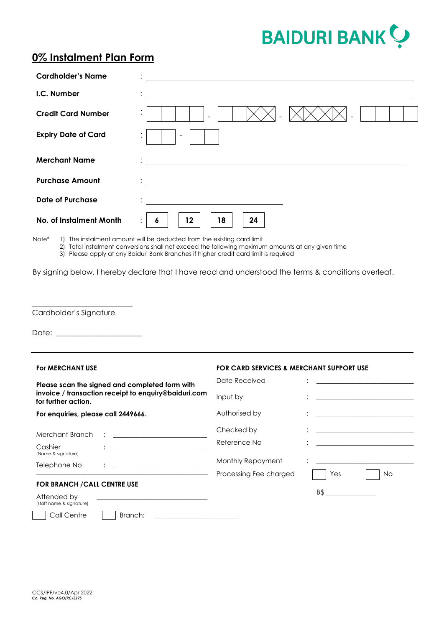

## **0% Instalment Plan Form**

| <b>Cardholder's Name</b>         |                                                                                                         |
|----------------------------------|---------------------------------------------------------------------------------------------------------|
| I.C. Number                      |                                                                                                         |
| <b>Credit Card Number</b>        | $\bullet$                                                                                               |
| <b>Expiry Date of Card</b>       | $\overline{\phantom{a}}$<br>$\bullet$                                                                   |
| <b>Merchant Name</b>             | <u> 1989 - John Stein, Amerikaansk politiker (</u>                                                      |
| <b>Purchase Amount</b>           | <u> 1989 - Andrea Stadt Britain, fransk politik (</u>                                                   |
| <b>Date of Purchase</b>          |                                                                                                         |
| No. of Instalment Month<br>lote* | 12<br>24<br>18<br>6<br>$\bullet$<br>The instalment amount will be deducted from the existing card limit |

Note\* 1) The instalment amount will be deducted from the existing card limit

2) Total instalment conversions shall not exceed the following maximum amounts at any given time

3) Please apply at any Baiduri Bank Branches if higher credit card limit is required

By signing below, I hereby declare that I have read and understood the terms & conditions overleaf.

Cardholder's Signature

\_\_\_\_\_\_\_\_\_\_\_\_\_\_\_\_\_\_\_\_\_\_\_\_\_\_\_

Date:

## **For MERCHANT USE FOR CARD SERVICES & MERCHANT SUPPORT USE Please scan the signed and completed form with invoice / transaction receipt to enquiry@baiduri.com for further action. For enquiries, please call 2449666.** Date Received Input by Authorised by : : : \_\_\_\_\_\_\_\_\_\_\_\_\_\_\_\_\_\_\_\_\_\_\_\_\_\_\_\_\_ \_\_\_\_\_\_\_\_\_\_\_\_\_\_\_\_\_\_\_\_\_\_\_\_\_\_\_\_\_ \_\_\_\_\_\_\_\_\_\_\_\_\_\_\_\_\_\_\_\_\_\_\_\_\_\_\_\_\_ Merchant Branch **: \_\_\_\_\_\_\_\_\_\_\_\_\_\_\_\_\_\_\_\_\_\_\_\_\_\_\_\_** Checked by Cashier (Name & signature) **: \_\_\_\_\_\_\_\_\_\_\_\_\_\_\_\_\_\_\_\_\_\_\_\_\_\_\_\_** Reference No Telephone No **: \_\_\_\_\_\_\_\_\_\_\_\_\_\_\_\_\_\_\_\_\_\_\_\_\_\_\_** Monthly Repayment : Processing Fee charged  $\Box$  Yes  $\Box$  No **FOR BRANCH /CALL CENTRE USE** Attended by (staff name & signature) B\$ \_\_\_\_\_\_\_\_\_\_\_\_\_\_\_ Call Centre | Branch: